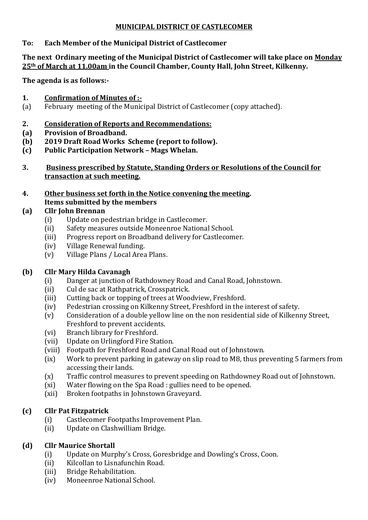#### **MUNICIPAL DISTRICT OF CASTLECOMER**

### **To: Each Member of the Municipal District of Castlecomer**

#### **The next Ordinary meeting of the Municipal District of Castlecomer will take place on Monday 25th of March at 11.00am in the Council Chamber, County Hall, John Street, Kilkenny.**

**The agenda is as follows:-**

#### **1. Confirmation of Minutes of :-**

(a) February meeting of the Municipal District of Castlecomer (copy attached).

### **2. Consideration of Reports and Recommendations:**

- **(a) Provision of Broadband.**
- **(b) 2019 Draft Road Works Scheme (report to follow).**
- **(c) Public Participation Network – Mags Whelan.**
- **3. Business prescribed by Statute, Standing Orders or Resolutions of the Council for transaction at such meeting.**
- **4. Other business set forth in the Notice convening the meeting. Items submitted by the members**

# **(a) Cllr John Brennan**

- (i) Update on pedestrian bridge in Castlecomer.
- (ii) Safety measures outside Moneenroe National School.
- (iii) Progress report on Broadband delivery for Castlecomer.
- (iv) Village Renewal funding.
- (v) Village Plans / Local Area Plans.

# **(b) Cllr Mary Hilda Cavanagh**

- (i) Danger at junction of Rathdowney Road and Canal Road, Johnstown.
- (ii) Cul de sac at Rathpatrick, Crosspatrick.
- (iii) Cutting back or topping of trees at Woodview, Freshford.
- (iv) Pedestrian crossing on Kilkenny Street, Freshford in the interest of safety.
- (v) Consideration of a double yellow line on the non residential side of Kilkenny Street, Freshford to prevent accidents.
- (vi) Branch library for Freshford.
- (vii) Update on Urlingford Fire Station.
- (viii) Footpath for Freshford Road and Canal Road out of Johnstown.
- (ix) Work to prevent parking in gateway on slip road to M8, thus preventing 5 farmers from accessing their lands.
- (x) Traffic control measures to prevent speeding on Rathdowney Road out of Johnstown.
- (xi) Water flowing on the Spa Road : gullies need to be opened.
- (xii) Broken footpaths in Johnstown Graveyard.

# **(c) Cllr Pat Fitzpatrick**

- (i) Castlecomer Footpaths Improvement Plan.
- (ii) Update on Clashwilliam Bridge.

# **(d) Cllr Maurice Shortall**

- (i) Update on Murphy's Cross, Goresbridge and Dowling's Cross, Coon.
- (ii) Kilcollan to Lisnafunchin Road.
- (iii) Bridge Rehabilitation.
- (iv) Moneenroe National School.